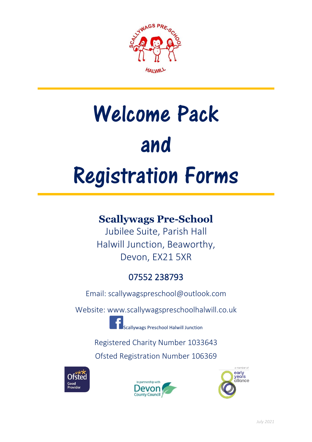

# Welcome Pack and Registration Forms

## **Scallywags Pre-School**

Jubilee Suite, Parish Hall Halwill Junction, Beaworthy, Devon, EX21 5XR

## 07552 238793

[Email: scallywagspreschool@outlook.com](mailto:Email:%20scallywagspreschool@outlook.com)

[Website: www.scallywagspreschoolhalwill.co.uk](http://Website:%20www.scallywagspreschoolhalwill.co.uk)

Scallywags Preschool Halwill Junction

Registered Charity Number 1033643

Ofsted Registration Number 106369





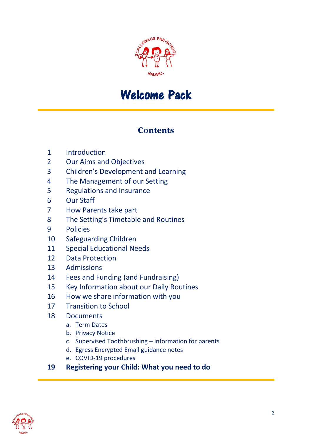

# Welcome Pack

## **Contents**

- Introduction
- Our Aims and Objectives
- Children's Development and Learning
- The Management of our Setting
- Regulations and Insurance
- Our Staff
- How Parents take part
- The Setting's Timetable and Routines
- Policies
- Safeguarding Children
- Special Educational Needs
- Data Protection
- Admissions
- Fees and Funding (and Fundraising)
- Key Information about our Daily Routines
- How we share information with you
- Transition to School
- Documents
	- a. Term Dates
	- b. Privacy Notice
	- c. Supervised Toothbrushing information for parents
	- d. Egress Encrypted Email guidance notes
	- e. COVID-19 procedures
- **Registering your Child: What you need to do**

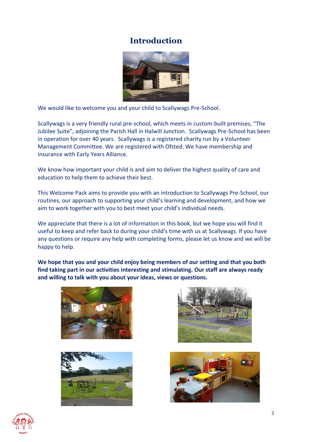## **Introduction**



We would like to welcome you and your child to Scallywags Pre-School.

Scallywags is a very friendly rural pre-school, which meets in custom-built premises, "The Jubilee Suite", adjoining the Parish Hall in Halwill Junction. Scallywags Pre-School has been in operation for over 40 years. Scallywags is a registered charity run by a Volunteer Management Committee. We are registered with Ofsted. We have membership and insurance with Early Years Alliance.

We know how important your child is and aim to deliver the highest quality of care and education to help them to achieve their best.

This Welcome Pack aims to provide you with an introduction to Scallywags Pre-School, our routines, our approach to supporting your child's learning and development, and how we aim to work together with you to best meet your child's individual needs.

We appreciate that there is a lot of information in this book, but we hope you will find it useful to keep and refer back to during your child's time with us at Scallywags. If you have any questions or require any help with completing forms, please let us know and we will be happy to help.

**We hope that you and your child enjoy being members of our setting and that you both find taking part in our activities interesting and stimulating. Our staff are always ready and willing to talk with you about your ideas, views or questions.**









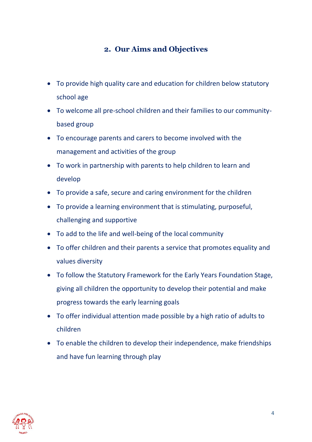## **2. Our Aims and Objectives**

- To provide high quality care and education for children below statutory school age
- To welcome all pre-school children and their families to our communitybased group
- To encourage parents and carers to become involved with the management and activities of the group
- To work in partnership with parents to help children to learn and develop
- To provide a safe, secure and caring environment for the children
- To provide a learning environment that is stimulating, purposeful, challenging and supportive
- To add to the life and well-being of the local community
- To offer children and their parents a service that promotes equality and values diversity
- To follow the Statutory Framework for the Early Years Foundation Stage, giving all children the opportunity to develop their potential and make progress towards the early learning goals
- To offer individual attention made possible by a high ratio of adults to children
- To enable the children to develop their independence, make friendships and have fun learning through play

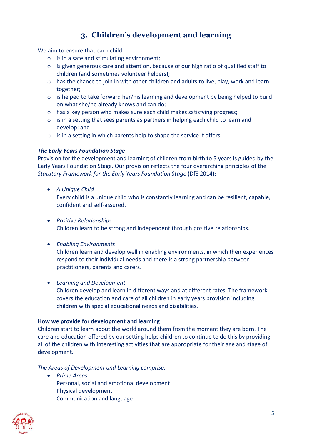## **3. Children's development and learning**

We aim to ensure that each child:

- o is in a safe and stimulating environment;
- o is given generous care and attention, because of our high ratio of qualified staff to children (and sometimes volunteer helpers);
- o has the chance to join in with other children and adults to live, play, work and learn together;
- o is helped to take forward her/his learning and development by being helped to build on what she/he already knows and can do;
- o has a key person who makes sure each child makes satisfying progress;
- o is in a setting that sees parents as partners in helping each child to learn and develop; and
- o is in a setting in which parents help to shape the service it offers.

#### *The Early Years Foundation Stage*

Provision for the development and learning of children from birth to 5 years is guided by the Early Years Foundation Stage. Our provision reflects the four overarching principles of the *Statutory Framework for the Early Years Foundation Stage* (DfE 2014):

• *A Unique Child*

Every child is a unique child who is constantly learning and can be resilient, capable, confident and self-assured.

- *Positive Relationships* Children learn to be strong and independent through positive relationships.
- *Enabling Environments*

Children learn and develop well in enabling environments, in which their experiences respond to their individual needs and there is a strong partnership between practitioners, parents and carers.

• *Learning and Development*

Children develop and learn in different ways and at different rates. The framework covers the education and care of all children in early years provision including children with special educational needs and disabilities.

#### **How we provide for development and learning**

Children start to learn about the world around them from the moment they are born. The care and education offered by our setting helps children to continue to do this by providing all of the children with interesting activities that are appropriate for their age and stage of development.

*The Areas of Development and Learning comprise:*

• *Prime Areas* Personal, social and emotional development Physical development Communication and language

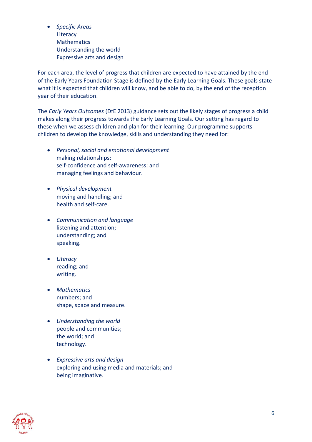• *Specific Areas* **Literacy Mathematics** Understanding the world Expressive arts and design

For each area, the level of progress that children are expected to have attained by the end of the Early Years Foundation Stage is defined by the Early Learning Goals. These goals state what it is expected that children will know, and be able to do, by the end of the reception year of their education.

The *Early Years Outcomes* (DfE 2013) guidance sets out the likely stages of progress a child makes along their progress towards the Early Learning Goals. Our setting has regard to these when we assess children and plan for their learning. Our programme supports children to develop the knowledge, skills and understanding they need for:

- *Personal, social and emotional development* making relationships; self-confidence and self-awareness; and managing feelings and behaviour.
- *Physical development* moving and handling; and health and self-care.
- *Communication and language* listening and attention; understanding; and speaking.
- *Literacy* reading; and writing.
- *Mathematics* numbers; and shape, space and measure.
- *Understanding the world* people and communities; the world; and technology.
- *Expressive arts and design* exploring and using media and materials; and being imaginative.

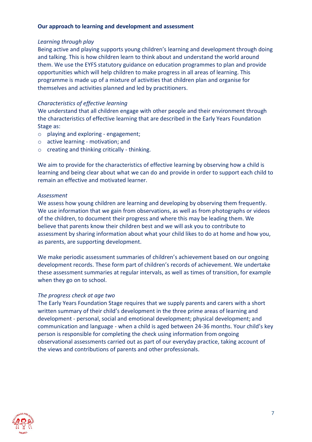#### **Our approach to learning and development and assessment**

#### *Learning through play*

Being active and playing supports young children's learning and development through doing and talking. This is how children learn to think about and understand the world around them. We use the EYFS statutory guidance on education programmes to plan and provide opportunities which will help children to make progress in all areas of learning. This programme is made up of a mixture of activities that children plan and organise for themselves and activities planned and led by practitioners.

#### *Characteristics of effective learning*

We understand that all children engage with other people and their environment through the characteristics of effective learning that are described in the Early Years Foundation Stage as:

- o playing and exploring engagement;
- o active learning motivation; and
- o creating and thinking critically thinking.

We aim to provide for the characteristics of effective learning by observing how a child is learning and being clear about what we can do and provide in order to support each child to remain an effective and motivated learner.

#### *Assessment*

We assess how young children are learning and developing by observing them frequently. We use information that we gain from observations, as well as from photographs or videos of the children, to document their progress and where this may be leading them. We believe that parents know their children best and we will ask you to contribute to assessment by sharing information about what your child likes to do at home and how you, as parents, are supporting development.

We make periodic assessment summaries of children's achievement based on our ongoing development records. These form part of children's records of achievement. We undertake these assessment summaries at regular intervals, as well as times of transition, for example when they go on to school.

#### *The progress check at age two*

The Early Years Foundation Stage requires that we supply parents and carers with a short written summary of their child's development in the three prime areas of learning and development - personal, social and emotional development; physical development; and communication and language - when a child is aged between 24-36 months. Your child's key person is responsible for completing the check using information from ongoing observational assessments carried out as part of our everyday practice, taking account of the views and contributions of parents and other professionals.

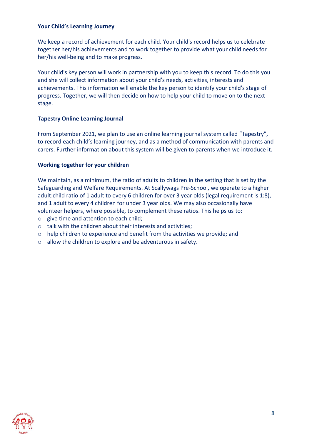#### **Your Child's Learning Journey**

We keep a record of achievement for each child. Your child's record helps us to celebrate together her/his achievements and to work together to provide what your child needs for her/his well-being and to make progress.

Your child's key person will work in partnership with you to keep this record. To do this you and she will collect information about your child's needs, activities, interests and achievements. This information will enable the key person to identify your child's stage of progress. Together, we will then decide on how to help your child to move on to the next stage.

#### **Tapestry Online Learning Journal**

From September 2021, we plan to use an online learning journal system called "Tapestry", to record each child's learning journey, and as a method of communication with parents and carers. Further information about this system will be given to parents when we introduce it.

#### **Working together for your children**

We maintain, as a minimum, the ratio of adults to children in the setting that is set by the Safeguarding and Welfare Requirements. At Scallywags Pre-School, we operate to a higher adult:child ratio of 1 adult to every 6 children for over 3 year olds (legal requirement is 1:8), and 1 adult to every 4 children for under 3 year olds. We may also occasionally have volunteer helpers, where possible, to complement these ratios. This helps us to:

- o give time and attention to each child;
- o talk with the children about their interests and activities;
- $\circ$  help children to experience and benefit from the activities we provide; and
- o allow the children to explore and be adventurous in safety.

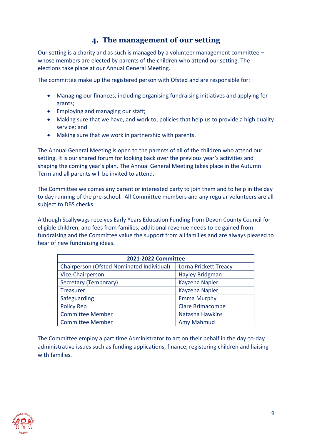## **4. The management of our setting**

Our setting is a charity and as such is managed by a volunteer management committee – whose members are elected by parents of the children who attend our setting. The elections take place at our Annual General Meeting.

The committee make up the registered person with Ofsted and are responsible for:

- Managing our finances, including organising fundraising initiatives and applying for grants;
- Employing and managing our staff;
- Making sure that we have, and work to, policies that help us to provide a high quality service; and
- Making sure that we work in partnership with parents.

The Annual General Meeting is open to the parents of all of the children who attend our setting. It is our shared forum for looking back over the previous year's activities and shaping the coming year's plan. The Annual General Meeting takes place in the Autumn Term and all parents will be invited to attend.

The Committee welcomes any parent or interested party to join them and to help in the day to day running of the pre-school. All Committee members and any regular volunteers are all subject to DBS checks.

Although Scallywags receives Early Years Education Funding from Devon County Council for eligible children, and fees from families, additional revenue needs to be gained from fundraising and the Committee value the support from all families and are always pleased to hear of new fundraising ideas.

| 2021-2022 Committee                       |                         |  |
|-------------------------------------------|-------------------------|--|
| Chairperson (Ofsted Nominated Individual) | Lorna Prickett Treacy   |  |
| Vice-Chairperson                          | Hayley Bridgman         |  |
| Secretary (Temporary)                     | Kayzena Napier          |  |
| <b>Treasurer</b>                          | Kayzena Napier          |  |
| Safeguarding                              | <b>Emma Murphy</b>      |  |
| <b>Policy Rep</b>                         | <b>Clare Brimacombe</b> |  |
| <b>Committee Member</b>                   | Natasha Hawkins         |  |
| <b>Committee Member</b>                   | Amy Mahmud              |  |

The Committee employ a part time Administrator to act on their behalf in the day-to-day administrative issues such as funding applications, finance, registering children and liaising with families.

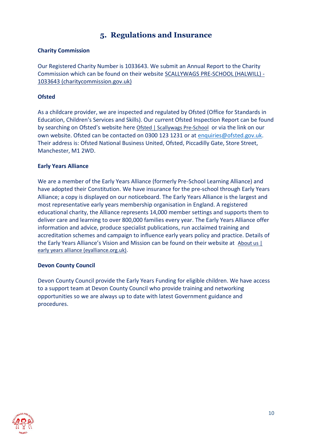## **5. Regulations and Insurance**

#### **Charity Commission**

Our Registered Charity Number is 1033643. We submit an Annual Report to the Charity Commission which can be found on their website [SCALLYWAGS PRE-SCHOOL \(HALWILL\) -](https://register-of-charities.charitycommission.gov.uk/charity-search/-/charity-details/1033643) [1033643 \(charitycommission.gov.uk\)](https://register-of-charities.charitycommission.gov.uk/charity-search/-/charity-details/1033643)

#### **Ofsted**

As a childcare provider, we are inspected and regulated by Ofsted (Office for Standards in Education, Children's Services and Skills). Our current Ofsted Inspection Report can be found by searching on Ofsted's website here [Ofsted | Scallywags Pre-School](https://reports.ofsted.gov.uk/provider/16/106369) or via the link on our own website. Ofsted can be contacted on 0300 123 1231 or at [enquiries@ofsted.gov.uk.](mailto:enquiries@ofsted.gov.uk) Their address is: Ofsted National Business United, Ofsted, Piccadilly Gate, Store Street, Manchester, M1 2WD.

#### **Early Years Alliance**

We are a member of the Early Years Alliance (formerly Pre-School Learning Alliance) and have adopted their Constitution. We have insurance for the pre-school through Early Years Alliance; a copy is displayed on our noticeboard. The Early Years Alliance is the largest and most representative early years membership organisation in England. A registered educational charity, the Alliance represents 14,000 member settings and supports them to deliver care and learning to over 800,000 families every year. The Early Years Alliance offer information and advice, produce specialist publications, run acclaimed training and accreditation schemes and campaign to influence early years policy and practice. Details of the Early Years Alliance's Vision and Mission can be found on their website at About us [ [early years alliance \(eyalliance.org.uk\).](https://www.eyalliance.org.uk/about-us)

#### **Devon County Council**

Devon County Council provide the Early Years Funding for eligible children. We have access to a support team at Devon County Council who provide training and networking opportunities so we are always up to date with latest Government guidance and procedures.

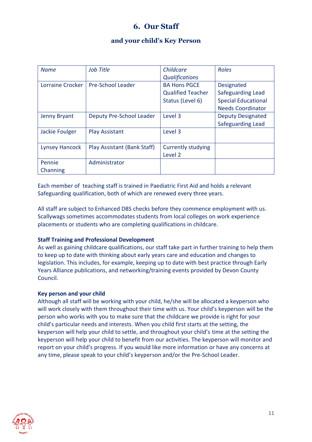## **6. Our Staff**

#### **and your child's Key Person**

| <b>Name</b>           | Job Title                   | Childcare<br><b>Qualifications</b>                                  | Roles                                                                                     |
|-----------------------|-----------------------------|---------------------------------------------------------------------|-------------------------------------------------------------------------------------------|
| Lorraine Crocker      | <b>Pre-School Leader</b>    | <b>BA Hons PGCE</b><br><b>Qualified Teacher</b><br>Status (Level 6) | Designated<br>Safeguarding Lead<br><b>Special Educational</b><br><b>Needs Coordinator</b> |
| Jenny Bryant          | Deputy Pre-School Leader    | Level 3                                                             | <b>Deputy Designated</b><br>Safeguarding Lead                                             |
| Jackie Foulger        | <b>Play Assistant</b>       | Level 3                                                             |                                                                                           |
| <b>Lynsey Hancock</b> | Play Assistant (Bank Staff) | <b>Currently studying</b><br>Level 2                                |                                                                                           |
| Pennie<br>Channing    | Administrator               |                                                                     |                                                                                           |

Each member of teaching staff is trained in Paediatric First Aid and holds a relevant Safeguarding qualification, both of which are renewed every three years.

All staff are subject to Enhanced DBS checks before they commence employment with us. Scallywags sometimes accommodates students from local colleges on work experience placements or students who are completing qualifications in childcare.

#### **Staff Training and Professional Development**

As well as gaining childcare qualifications, our staff take part in further training to help them to keep up to date with thinking about early years care and education and changes to legislation. This includes, for example, keeping up to date with best practice through Early Years Alliance publications, and networking/training events provided by Devon County Council.

#### **Key person and your child**

Although all staff will be working with your child, he/she will be allocated a keyperson who will work closely with them throughout their time with us. Your child's keyperson will be the person who works with you to make sure that the childcare we provide is right for your child's particular needs and interests. When you child first starts at the setting, the keyperson will help your child to settle, and throughout your child's time at the setting the keyperson will help your child to benefit from our activities. The keyperson will monitor and report on your child's progress. If you would like more information or have any concerns at any time, please speak to your child's keyperson and/or the Pre-School Leader.

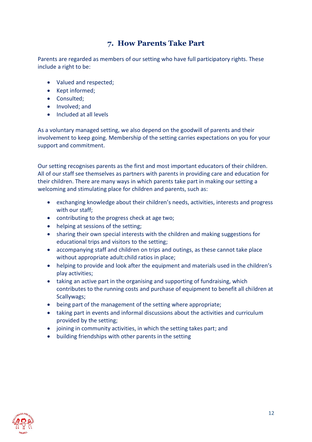## **7. How Parents Take Part**

Parents are regarded as members of our setting who have full participatory rights. These include a right to be:

- Valued and respected;
- Kept informed;
- Consulted;
- Involved; and
- Included at all levels

As a voluntary managed setting, we also depend on the goodwill of parents and their involvement to keep going. Membership of the setting carries expectations on you for your support and commitment.

Our setting recognises parents as the first and most important educators of their children. All of our staff see themselves as partners with parents in providing care and education for their children. There are many ways in which parents take part in making our setting a welcoming and stimulating place for children and parents, such as:

- exchanging knowledge about their children's needs, activities, interests and progress with our staff;
- contributing to the progress check at age two;
- helping at sessions of the setting;
- sharing their own special interests with the children and making suggestions for educational trips and visitors to the setting;
- accompanying staff and children on trips and outings, as these cannot take place without appropriate adult:child ratios in place;
- helping to provide and look after the equipment and materials used in the children's play activities;
- taking an active part in the organising and supporting of fundraising, which contributes to the running costs and purchase of equipment to benefit all children at Scallywags;
- being part of the management of the setting where appropriate;
- taking part in events and informal discussions about the activities and curriculum provided by the setting;
- joining in community activities, in which the setting takes part; and
- building friendships with other parents in the setting

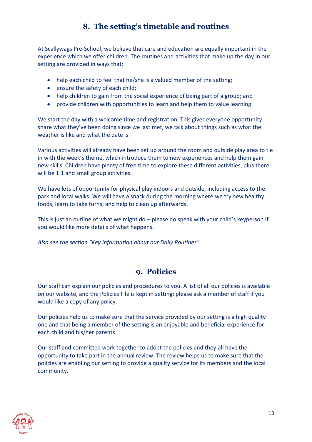## **8. The setting's timetable and routines**

At Scallywags Pre-School, we believe that care and education are equally important in the experience which we offer children. The routines and activities that make up the day in our setting are provided in ways that:

- help each child to feel that he/she is a valued member of the setting;
- ensure the safety of each child;
- help children to gain from the social experience of being part of a group; and
- provide children with opportunities to learn and help them to value learning.

We start the day with a welcome time and registration. This gives everyone opportunity share what they've been doing since we last met, we talk about things such as what the weather is like and what the date is.

Various activities will already have been set up around the room and outside play area to tie in with the week's theme, which introduce them to new experiences and help them gain new skills. Children have plenty of free time to explore these different activities, plus there will be 1:1 and small group activities.

We have lots of opportunity for physical play indoors and outside, including access to the park and local walks. We will have a snack during the morning where we try new healthy foods, learn to take turns, and help to clean up afterwards.

This is just an outline of what we might do – please do speak with your child's keyperson if you would like more details of what happens.

*Also see the section "Key Information about our Daily Routines"*

## **9. Policies**

Our staff can explain our policies and procedures to you. A list of all our policies is available on our website, and the Policies File is kept in setting: please ask a member of staff if you would like a copy of any policy.

Our policies help us to make sure that the service provided by our setting is a high quality one and that being a member of the setting is an enjoyable and beneficial experience for each child and his/her parents.

Our staff and committee work together to adopt the policies and they all have the opportunity to take part in the annual review. The review helps us to make sure that the policies are enabling our setting to provide a quality service for its members and the local community.

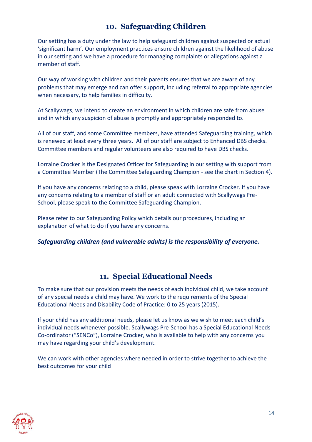## **10. Safeguarding Children**

Our setting has a duty under the law to help safeguard children against suspected or actual 'significant harm'. Our employment practices ensure children against the likelihood of abuse in our setting and we have a procedure for managing complaints or allegations against a member of staff.

Our way of working with children and their parents ensures that we are aware of any problems that may emerge and can offer support, including referral to appropriate agencies when necessary, to help families in difficulty.

At Scallywags, we intend to create an environment in which children are safe from abuse and in which any suspicion of abuse is promptly and appropriately responded to.

All of our staff, and some Committee members, have attended Safeguarding training, which is renewed at least every three years. All of our staff are subject to Enhanced DBS checks. Committee members and regular volunteers are also required to have DBS checks.

Lorraine Crocker is the Designated Officer for Safeguarding in our setting with support from a Committee Member (The Committee Safeguarding Champion - see the chart in Section 4).

If you have any concerns relating to a child, please speak with Lorraine Crocker. If you have any concerns relating to a member of staff or an adult connected with Scallywags Pre-School, please speak to the Committee Safeguarding Champion.

Please refer to our Safeguarding Policy which details our procedures, including an explanation of what to do if you have any concerns.

#### *Safeguarding children (and vulnerable adults) is the responsibility of everyone.*

## **11. Special Educational Needs**

To make sure that our provision meets the needs of each individual child, we take account of any special needs a child may have. We work to the requirements of the Special Educational Needs and Disability Code of Practice: 0 to 25 years (2015).

If your child has any additional needs, please let us know as we wish to meet each child's individual needs whenever possible. Scallywags Pre-School has a Special Educational Needs Co-ordinator ("SENCo"), Lorraine Crocker, who is available to help with any concerns you may have regarding your child's development.

We can work with other agencies where needed in order to strive together to achieve the best outcomes for your child

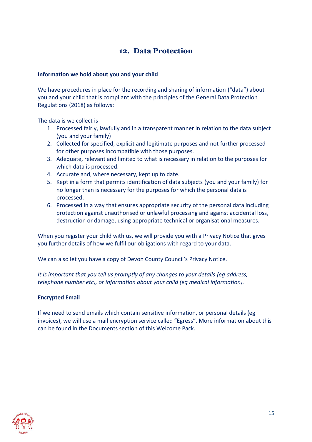## **12. Data Protection**

#### **Information we hold about you and your child**

We have procedures in place for the recording and sharing of information ("data") about you and your child that is compliant with the principles of the General Data Protection Regulations (2018) as follows:

The data is we collect is

- 1. Processed fairly, lawfully and in a transparent manner in relation to the data subject (you and your family)
- 2. Collected for specified, explicit and legitimate purposes and not further processed for other purposes incompatible with those purposes.
- 3. Adequate, relevant and limited to what is necessary in relation to the purposes for which data is processed.
- 4. Accurate and, where necessary, kept up to date.
- 5. Kept in a form that permits identification of data subjects (you and your family) for no longer than is necessary for the purposes for which the personal data is processed.
- 6. Processed in a way that ensures appropriate security of the personal data including protection against unauthorised or unlawful processing and against accidental loss, destruction or damage, using appropriate technical or organisational measures.

When you register your child with us, we will provide you with a Privacy Notice that gives you further details of how we fulfil our obligations with regard to your data.

We can also let you have a copy of Devon County Council's Privacy Notice.

*It is important that you tell us promptly of any changes to your details (eg address, telephone number etc), or information about your child (eg medical information).* 

#### **Encrypted Email**

If we need to send emails which contain sensitive information, or personal details (eg invoices), we will use a mail encryption service called "Egress". More information about this can be found in the Documents section of this Welcome Pack.

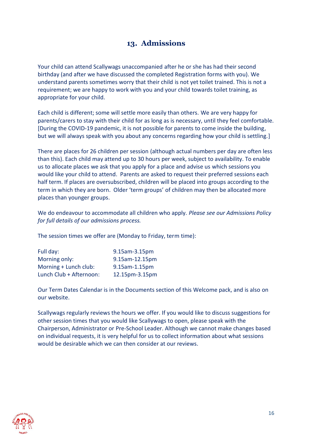## **13. Admissions**

Your child can attend Scallywags unaccompanied after he or she has had their second birthday (and after we have discussed the completed Registration forms with you). We understand parents sometimes worry that their child is not yet toilet trained. This is not a requirement; we are happy to work with you and your child towards toilet training, as appropriate for your child.

Each child is different; some will settle more easily than others. We are very happy for parents/carers to stay with their child for as long as is necessary, until they feel comfortable. [During the COVID-19 pandemic, it is not possible for parents to come inside the building, but we will always speak with you about any concerns regarding how your child is settling.]

There are places for 26 children per session (although actual numbers per day are often less than this). Each child may attend up to 30 hours per week, subject to availability. To enable us to allocate places we ask that you apply for a place and advise us which sessions you would like your child to attend. Parents are asked to request their preferred sessions each half term. If places are oversubscribed, children will be placed into groups according to the term in which they are born. Older 'term groups' of children may then be allocated more places than younger groups.

We do endeavour to accommodate all children who apply. *Please see our Admissions Policy for full details of our admissions process.*

The session times we offer are (Monday to Friday, term time):

| Full day:               | 9.15am-3.15pm  |
|-------------------------|----------------|
| Morning only:           | 9.15am-12.15pm |
| Morning + Lunch club:   | 9.15am-1.15pm  |
| Lunch Club + Afternoon: | 12.15pm-3.15pm |

Our Term Dates Calendar is in the Documents section of this Welcome pack, and is also on our website.

Scallywags regularly reviews the hours we offer. If you would like to discuss suggestions for other session times that you would like Scallywags to open, please speak with the Chairperson, Administrator or Pre-School Leader. Although we cannot make changes based on individual requests, it is very helpful for us to collect information about what sessions would be desirable which we can then consider at our reviews.

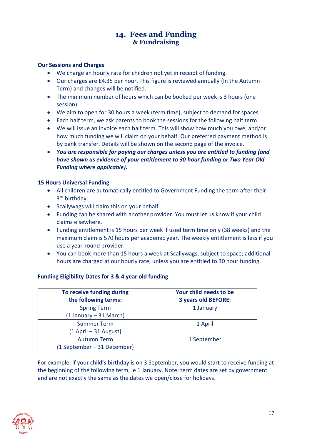#### **14. Fees and Funding & Fundraising**

#### **Our Sessions and Charges**

- We charge an hourly rate for children not yet in receipt of funding.
- Our charges are £4.35 per hour. This figure is reviewed annually (In the Autumn Term) and changes will be notified.
- The minimum number of hours which can be booked per week is 3 hours (one session).
- We aim to open for 30 hours a week (term time), subject to demand for spaces.
- Each half term, we ask parents to book the sessions for the following half term.
- We will issue an invoice each half term. This will show how much you owe, and/or how much funding we will claim on your behalf. Our preferred payment method is by bank transfer. Details will be shown on the second page of the invoice.
- *You are responsible for paying our charges unless you are entitled to funding (and have shown us evidence of your entitlement to 30 hour funding or Two Year Old Funding where applicable).*

#### **15 Hours Universal Funding**

- All children are automatically entitled to Government Funding the term after their 3 rd birthday.
- Scallywags will claim this on your behalf.
- Funding can be shared with another provider. You must let us know if your child claims elsewhere.
- Funding entitlement is 15 hours per week if used term time only (38 weeks) and the maximum claim is 570 hours per academic year. The weekly entitlement is less if you use a year-round provider.
- You can book more than 15 hours a week at Scallywags, subject to space; additional hours are charged at our hourly rate, unless you are entitled to 30 hour funding.

#### **Funding Eligibility Dates for 3 & 4 year old funding**

| To receive funding during<br>the following terms: | Your child needs to be<br>3 years old BEFORE: |
|---------------------------------------------------|-----------------------------------------------|
| <b>Spring Term</b>                                | 1 January                                     |
| (1 January – 31 March)                            |                                               |
| <b>Summer Term</b>                                | 1 April                                       |
| (1 April – 31 August)                             |                                               |
| <b>Autumn Term</b>                                | 1 September                                   |
| (1 September – 31 December)                       |                                               |

For example, if your child's birthday is on 3 September, you would start to receive funding at the beginning of the following term, ie 1 January. Note: term dates are set by government and are not exactly the same as the dates we open/close for holidays.

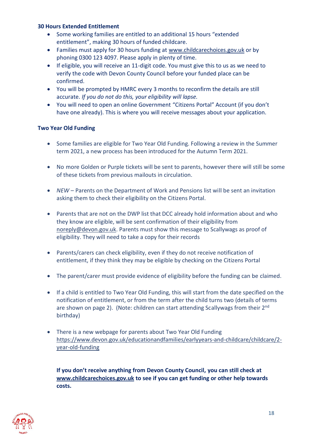#### **30 Hours Extended Entitlement**

- Some working families are entitled to an additional 15 hours "extended entitlement", making 30 hours of funded childcare.
- Families must apply for 30 hours funding at [www.childcarechoices.gov.uk](http://www.childcarechoices.gov.uk/) or by phoning 0300 123 4097. Please apply in plenty of time.
- If eligible, you will receive an 11-digit code. You must give this to us as we need to verify the code with Devon County Council before your funded place can be confirmed.
- You will be prompted by HMRC every 3 months to reconfirm the details are still accurate. *If you do not do this, your eligibility will lapse.*
- You will need to open an online Government "Citizens Portal" Account (if you don't have one already). This is where you will receive messages about your application.

#### **Two Year Old Funding**

- Some families are eligible for Two Year Old Funding. Following a review in the Summer term 2021, a new process has been introduced for the Autumn Term 2021.
- No more Golden or Purple tickets will be sent to parents, however there will still be some of these tickets from previous mailouts in circulation.
- *NEW* Parents on the Department of Work and Pensions list will be sent an invitation asking them to check their eligibility on the Citizens Portal.
- Parents that are not on the DWP list that DCC already hold information about and who they know are eligible, will be sent confirmation of their eligibility from [noreply@devon.gov.uk.](mailto:noreply@devon.gov.uk) Parents must show this message to Scallywags as proof of eligibility. They will need to take a copy for their records
- Parents/carers can check eligibility, even if they do not receive notification of entitlement, if they think they may be eligible by checking on the Citizens Portal
- The parent/carer must provide evidence of eligibility before the funding can be claimed.
- If a child is entitled to Two Year Old Funding, this will start from the date specified on the notification of entitlement, or from the term after the child turns two (details of terms are shown on page 2). (Note: children can start attending Scallywags from their 2<sup>nd</sup> birthday)
- There is a new webpage for parents about Two Year Old Funding [https://www.devon.gov.uk/educationandfamilies/earlyyears-and-childcare/childcare/2](https://www.devon.gov.uk/educationandfamilies/earlyyears-and-childcare/childcare/2-year-old-funding) [year-old-funding](https://www.devon.gov.uk/educationandfamilies/earlyyears-and-childcare/childcare/2-year-old-funding)

**If you don't receive anything from Devon County Council, you can still check at [www.childcarechoices.gov.uk](http://www.childcarechoices.gov.uk/) to see if you can get funding or other help towards costs.** 

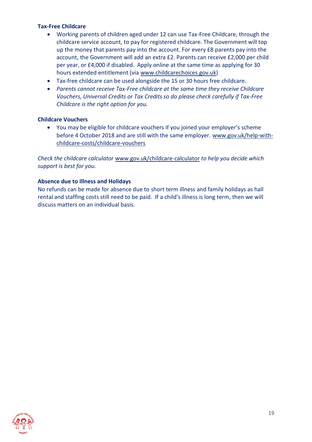#### **Tax-Free Childcare**

- Working parents of children aged under 12 can use Tax-Free Childcare, through the childcare service account, to pay for registered childcare. The Government will top up the money that parents pay into the account. For every £8 parents pay into the account, the Government will add an extra £2. Parents can receive £2,000 per child per year, or £4,000 if disabled. Apply online at the same time as applying for 30 hours extended entitlement (via [www.childcarechoices.gov.uk\)](http://www.childcarechoices.gov.uk/)
- Tax-free childcare can be used alongside the 15 or 30 hours free childcare.
- *Parents cannot receive Tax-Free childcare at the same time they receive Childcare Vouchers, Universal Credits or Tax Credits so do please check carefully if Tax-Free Childcare is the right option for you.*

#### **Childcare Vouchers**

• You may be eligible for childcare vouchers if you joined your employer's scheme before 4 October 2018 and are still with the same employer. www.gov.uk/help-withchildcare-costs/childcare-vouchers

*Check the childcare calculator* [www.gov.uk/childcare-calculator](http://www.gov.uk/childcare-calculator) *to help you decide which support is best for you.*

#### **Absence due to Illness and Holidays**

No refunds can be made for absence due to short term illness and family holidays as hall rental and staffing costs still need to be paid. If a child's illness is long term, then we will discuss matters on an individual basis.

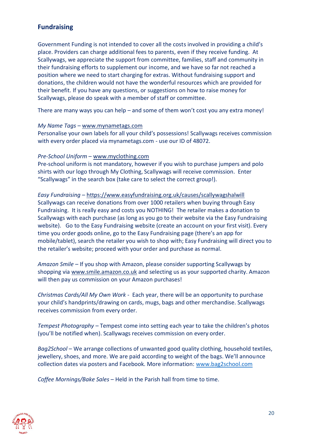### **Fundraising**

Government Funding is not intended to cover all the costs involved in providing a child's place. Providers can charge additional fees to parents, even if they receive funding. At Scallywags, we appreciate the support from committee, families, staff and community in their fundraising efforts to supplement our income, and we have so far not reached a position where we need to start charging for extras. Without fundraising support and donations, the children would not have the wonderful resources which are provided for their benefit. If you have any questions, or suggestions on how to raise money for Scallywags, please do speak with a member of staff or committee.

There are many ways you can help – and some of them won't cost you any extra money!

#### *My Name Tags* – [www.mynametags.com](http://www.mynametags.com/)

Personalise your own labels for all your child's possessions! Scallywags receives commission with every order placed via mynametags.com - use our ID of 48072.

#### *Pre-School Uniform* – [www.myclothing.com](http://www.myclothing.com/)

Pre-school uniform is not mandatory, however if you wish to purchase jumpers and polo shirts with our logo through My Clothing, Scallywags will receive commission. Enter "Scallywags" in the search box (take care to select the correct group!).

*Easy Fundraising* – <https://www.easyfundraising.org.uk/causes/scallywagshalwill> Scallywags can receive donations from over 1000 retailers when buying through Easy Fundraising. It is really easy and costs you NOTHING! The retailer makes a donation to Scallywags with each purchase (as long as you go to their website via the Easy Fundraising website). Go to the Easy Fundraising website (create an account on your first visit). Every time you order goods online, go to the Easy Fundraising page (there's an app for mobile/tablet), search the retailer you wish to shop with; Easy Fundraising will direct you to the retailer's website; proceed with your order and purchase as normal.

*Amazon Smile –* If you shop with Amazon, please consider supporting Scallywags by shopping via [www.smile.amazon.co.uk](http://www.smile.amazon.co.uk/) and selecting us as your supported charity. Amazon will then pay us commission on your Amazon purchases!

*Christmas Cards/All My Own Work* - Each year, there will be an opportunity to purchase your child's handprints/drawing on cards, mugs, bags and other merchandise. Scallywags receives commission from every order.

*Tempest Photography* – Tempest come into setting each year to take the children's photos (you'll be notified when). Scallywags receives commission on every order.

*Bag2School* – We arrange collections of unwanted good quality clothing, household textiles, jewellery, shoes, and more. We are paid according to weight of the bags. We'll announce collection dates via posters and Facebook. More information: [www.bag2school.com](http://www.bag2school.com/)

*Coffee Mornings/Bake Sales* – Held in the Parish hall from time to time.

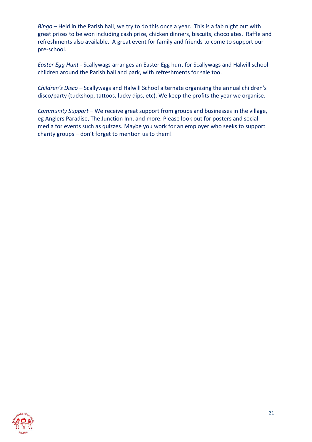*Bingo* – Held in the Parish hall, we try to do this once a year. This is a fab night out with great prizes to be won including cash prize, chicken dinners, biscuits, chocolates. Raffle and refreshments also available. A great event for family and friends to come to support our pre-school.

*Easter Egg Hunt* - Scallywags arranges an Easter Egg hunt for Scallywags and Halwill school children around the Parish hall and park, with refreshments for sale too.

*Children's Disco –* Scallywags and Halwill School alternate organising the annual children's disco/party (tuckshop, tattoos, lucky dips, etc). We keep the profits the year we organise.

*Community Support –* We receive great support from groups and businesses in the village, eg Anglers Paradise, The Junction Inn, and more. Please look out for posters and social media for events such as quizzes. Maybe you work for an employer who seeks to support charity groups – don't forget to mention us to them!

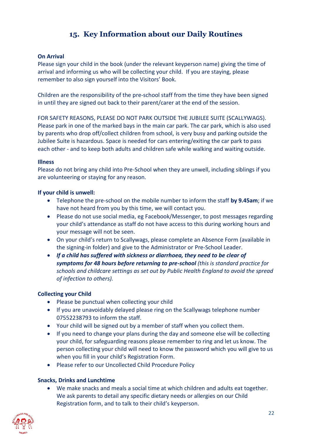## **15. Key Information about our Daily Routines**

#### **On Arrival**

Please sign your child in the book (under the relevant keyperson name) giving the time of arrival and informing us who will be collecting your child. If you are staying, please remember to also sign yourself into the Visitors' Book.

Children are the responsibility of the pre-school staff from the time they have been signed in until they are signed out back to their parent/carer at the end of the session.

FOR SAFETY REASONS, PLEASE DO NOT PARK OUTSIDE THE JUBILEE SUITE (SCALLYWAGS). Please park in one of the marked bays in the main car park. The car park, which is also used by parents who drop off/collect children from school, is very busy and parking outside the Jubilee Suite is hazardous. Space is needed for cars entering/exiting the car park to pass each other - and to keep both adults and children safe while walking and waiting outside.

#### **Illness**

Please do not bring any child into Pre-School when they are unwell, including siblings if you are volunteering or staying for any reason.

#### **If your child is unwell:**

- Telephone the pre-school on the mobile number to inform the staff **by 9.45am**; if we have not heard from you by this time, we will contact you.
- Please do not use social media, eg Facebook/Messenger, to post messages regarding your child's attendance as staff do not have access to this during working hours and your message will not be seen.
- On your child's return to Scallywags, please complete an Absence Form (available in the signing-in folder) and give to the Administrator or Pre-School Leader.
- *If a child has suffered with sickness or diarrhoea, they need to be clear of symptoms for 48 hours before returning to pre-school (this is standard practice for schools and childcare settings as set out by Public Health England to avoid the spread of infection to others).*

#### **Collecting your Child**

- Please be punctual when collecting your child
- If you are unavoidably delayed please ring on the Scallywags telephone number 07552238793 to inform the staff.
- Your child will be signed out by a member of staff when you collect them.
- If you need to change your plans during the day and someone else will be collecting your child, for safeguarding reasons please remember to ring and let us know. The person collecting your child will need to know the password which you will give to us when you fill in your child's Registration Form.
- Please refer to our Uncollected Child Procedure Policy

#### **Snacks, Drinks and Lunchtime**

• We make snacks and meals a social time at which children and adults eat together. We ask parents to detail any specific dietary needs or allergies on our Child Registration form, and to talk to their child's keyperson.

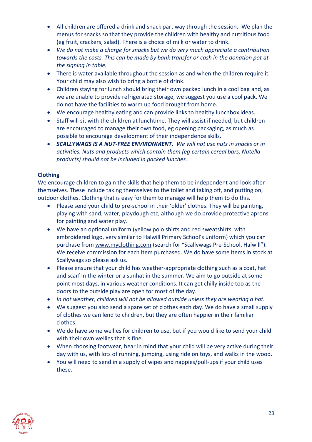- All children are offered a drink and snack part way through the session. We plan the menus for snacks so that they provide the children with healthy and nutritious food (eg fruit, crackers, salad). There is a choice of milk or water to drink.
- *We do not make a charge for snacks but we do very much appreciate a contribution towards the costs. This can be made by bank transfer or cash in the donation pot at the signing in table.*
- There is water available throughout the session as and when the children require it. Your child may also wish to bring a bottle of drink.
- Children staying for lunch should bring their own packed lunch in a cool bag and, as we are unable to provide refrigerated storage, we suggest you use a cool pack. We do not have the facilities to warm up food brought from home.
- We encourage healthy eating and can provide links to healthy lunchbox ideas.
- Staff will sit with the children at lunchtime. They will assist if needed, but children are encouraged to manage their own food, eg opening packaging, as much as possible to encourage development of their independence skills.
- *SCALLYWAGS IS A NUT-FREE ENVIRONMENT. We will not use nuts in snacks or in activities. Nuts and products which contain them (eg certain cereal bars, Nutella products) should not be included in packed lunches.*

#### **Clothing**

We encourage children to gain the skills that help them to be independent and look after themselves. These include taking themselves to the toilet and taking off, and putting on, outdoor clothes. Clothing that is easy for them to manage will help them to do this.

- Please send your child to pre-school in their 'older' clothes. They will be painting, playing with sand, water, playdough etc, although we do provide protective aprons for painting and water play.
- We have an optional uniform (yellow polo shirts and red sweatshirts, with embroidered logo, very similar to Halwill Primary School's uniform) which you can purchase from [www.myclothing.com](http://www.myclothing.com/) (search for "Scallywags Pre-School, Halwill"). We receive commission for each item purchased. We do have some items in stock at Scallywags so please ask us.
- Please ensure that your child has weather-appropriate clothing such as a coat, hat and scarf in the winter or a sunhat in the summer. We aim to go outside at some point most days, in various weather conditions. It can get chilly inside too as the doors to the outside play are open for most of the day.
- *In hot weather, children will not be allowed outside unless they are wearing a hat.*
- We suggest you also send a spare set of clothes each day. We do have a small supply of clothes we can lend to children, but they are often happier in their familiar clothes.
- We do have some wellies for children to use, but if you would like to send your child with their own wellies that is fine.
- When choosing footwear, bear in mind that your child will be very active during their day with us, with lots of running, jumping, using ride on toys, and walks in the wood.
- You will need to send in a supply of wipes and nappies/pull-ups if your child uses these.

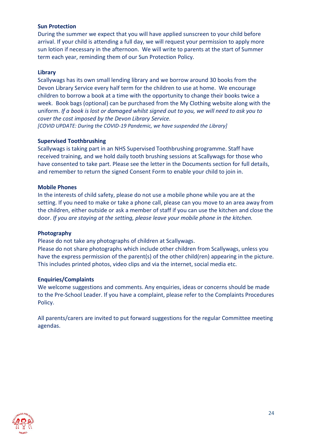#### **Sun Protection**

During the summer we expect that you will have applied sunscreen to your child before arrival. If your child is attending a full day, we will request your permission to apply more sun lotion if necessary in the afternoon. We will write to parents at the start of Summer term each year, reminding them of our Sun Protection Policy.

#### **Library**

Scallywags has its own small lending library and we borrow around 30 books from the Devon Library Service every half term for the children to use at home. We encourage children to borrow a book at a time with the opportunity to change their books twice a week. Book bags (optional) can be purchased from the My Clothing website along with the uniform. *If a book is lost or damaged whilst signed out to you, we will need to ask you to cover the cost imposed by the Devon Library Service. [COVID UPDATE: During the COVID-19 Pandemic, we have suspended the Library]*

#### **Supervised Toothbrushing**

Scallywags is taking part in an NHS Supervised Toothbrushing programme. Staff have received training, and we hold daily tooth brushing sessions at Scallywags for those who have consented to take part. Please see the letter in the Documents section for full details, and remember to return the signed Consent Form to enable your child to join in.

#### **Mobile Phones**

In the interests of child safety, please do not use a mobile phone while you are at the setting. If you need to make or take a phone call, please can you move to an area away from the children, either outside or ask a member of staff if you can use the kitchen and close the door. *If you are staying at the setting, please leave your mobile phone in the kitchen.*

#### **Photography**

Please do not take any photographs of children at Scallywags.

Please do not share photographs which include other children from Scallywags, unless you have the express permission of the parent(s) of the other child(ren) appearing in the picture. This includes printed photos, video clips and via the internet, social media etc.

#### **Enquiries/Complaints**

We welcome suggestions and comments. Any enquiries, ideas or concerns should be made to the Pre-School Leader. If you have a complaint, please refer to the Complaints Procedures Policy.

All parents/carers are invited to put forward suggestions for the regular Committee meeting agendas.

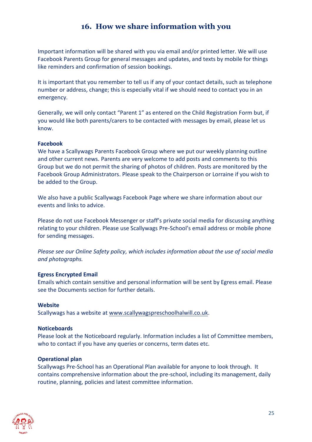## **16. How we share information with you**

Important information will be shared with you via email and/or printed letter. We will use Facebook Parents Group for general messages and updates, and texts by mobile for things like reminders and confirmation of session bookings.

It is important that you remember to tell us if any of your contact details, such as telephone number or address, change; this is especially vital if we should need to contact you in an emergency.

Generally, we will only contact "Parent 1" as entered on the Child Registration Form but, if you would like both parents/carers to be contacted with messages by email, please let us know.

#### **Facebook**

We have a Scallywags Parents Facebook Group where we put our weekly planning outline and other current news. Parents are very welcome to add posts and comments to this Group but we do not permit the sharing of photos of children. Posts are monitored by the Facebook Group Administrators. Please speak to the Chairperson or Lorraine if you wish to be added to the Group.

We also have a public Scallywags Facebook Page where we share information about our events and links to advice.

Please do not use Facebook Messenger or staff's private social media for discussing anything relating to your children. Please use Scallywags Pre-School's email address or mobile phone for sending messages.

*Please see our Online Safety policy, which includes information about the use of social media and photographs.*

#### **Egress Encrypted Email**

Emails which contain sensitive and personal information will be sent by Egress email. Please see the Documents section for further details.

#### **Website**

Scallywags has a website at [www.scallywagspreschoolhalwill.co.uk.](http://www.scallywagspreschoolhalwill.co.uk/)

#### **Noticeboards**

Please look at the Noticeboard regularly. Information includes a list of Committee members, who to contact if you have any queries or concerns, term dates etc.

#### **Operational plan**

Scallywags Pre-School has an Operational Plan available for anyone to look through. It contains comprehensive information about the pre-school, including its management, daily routine, planning, policies and latest committee information.

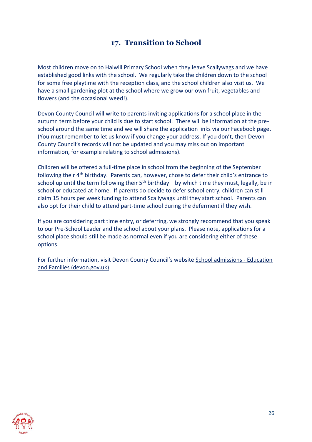## **17. Transition to School**

Most children move on to Halwill Primary School when they leave Scallywags and we have established good links with the school. We regularly take the children down to the school for some free playtime with the reception class, and the school children also visit us. We have a small gardening plot at the school where we grow our own fruit, vegetables and flowers (and the occasional weed!).

Devon County Council will write to parents inviting applications for a school place in the autumn term before your child is due to start school. There will be information at the preschool around the same time and we will share the application links via our Facebook page. (You must remember to let us know if you change your address. If you don't, then Devon County Council's records will not be updated and you may miss out on important information, for example relating to school admissions).

Children will be offered a full-time place in school from the beginning of the September following their 4<sup>th</sup> birthday. Parents can, however, chose to defer their child's entrance to school up until the term following their  $5<sup>th</sup>$  birthday – by which time they must, legally, be in school or educated at home. If parents do decide to defer school entry, children can still claim 15 hours per week funding to attend Scallywags until they start school. Parents can also opt for their child to attend part-time school during the deferment if they wish.

If you are considering part time entry, or deferring, we strongly recommend that you speak to our Pre-School Leader and the school about your plans. Please note, applications for a school place should still be made as normal even if you are considering either of these options.

For further information, visit Devon County Council's website [School admissions -](https://www.devon.gov.uk/educationandfamilies/school-information/apply-for-a-school-place) Education [and Families \(devon.gov.uk\)](https://www.devon.gov.uk/educationandfamilies/school-information/apply-for-a-school-place)

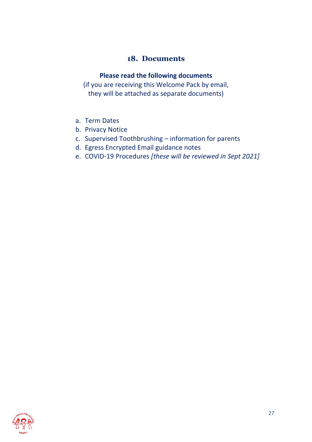## **18. Documents**

#### **Please read the following documents**

(if you are receiving this Welcome Pack by email, they will be attached as separate documents)

- a. Term Dates
- b. Privacy Notice
- c. Supervised Toothbrushing information for parents
- d. Egress Encrypted Email guidance notes
- e. COVID-19 Procedures *[these will be reviewed in Sept 2021]*

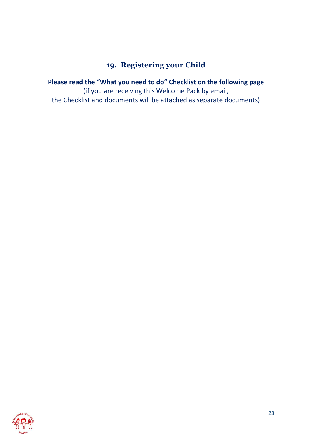## **19. Registering your Child**

**Please read the "What you need to do" Checklist on the following page** (if you are receiving this Welcome Pack by email, the Checklist and documents will be attached as separate documents)

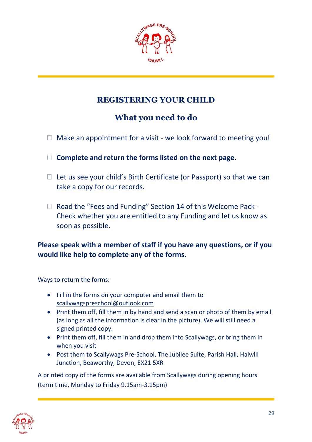

## **REGISTERING YOUR CHILD**

## **What you need to do**

- $\Box$  Make an appointment for a visit we look forward to meeting you!
- **Complete and return the forms listed on the next page**.
- $\Box$  Let us see your child's Birth Certificate (or Passport) so that we can take a copy for our records.
- $\Box$  Read the "Fees and Funding" Section 14 of this Welcome Pack -Check whether you are entitled to any Funding and let us know as soon as possible.

## **Please speak with a member of staff if you have any questions, or if you would like help to complete any of the forms.**

Ways to return the forms:

- Fill in the forms on your computer and email them to [scallywagspreschool@outlook.com](mailto:scallywagspreschool@outlook.com)
- Print them off, fill them in by hand and send a scan or photo of them by email (as long as all the information is clear in the picture). We will still need a signed printed copy.
- Print them off, fill them in and drop them into Scallywags, or bring them in when you visit
- Post them to Scallywags Pre-School, The Jubilee Suite, Parish Hall, Halwill Junction, Beaworthy, Devon, EX21 5XR

A printed copy of the forms are available from Scallywags during opening hours (term time, Monday to Friday 9.15am-3.15pm)